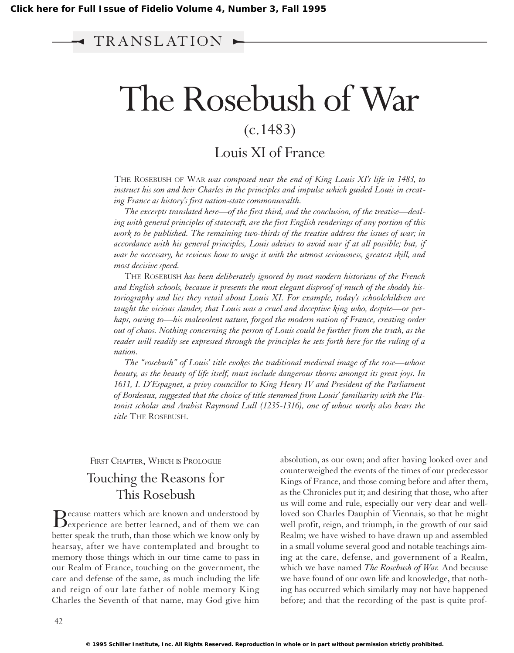# TR ANSL AT ION

# The Rosebush of War

# (c.1483)

# Louis XI of France

THE ROSEBUSH OF WAR *was composed near the end of King Louis XI's life in 1483, to instruct his son and heir Charles in the principles and impulse which guided Louis in creating France as history's first nation-state commonwealth.*

*The excerpts translated here—of the first third, and the conclusion, of the treatise—dealing with general principles of statecraft, are the first English renderings of any portion of this work to be published. The remaining two-thirds of the treatise address the issues of war; in accordance with his general principles, Louis advises to avoid war if at all possible; but, if war be necessary, he reviews how to wage it with the utmost seriousness, greatest skill, and most decisive speed.*

THE ROSEBUSH *has been deliberately ignored by most modern historians of the French and English schools, because it presents the most elegant disproof of much of the shoddy historiography and lies they retail about Louis XI. For example, today's schoolchildren are taught the vicious slander, that Louis was a cruel and deceptive king who, despite—or perhaps, owing to—his malevolent nature, forged the modern nation of France, creating order out of chaos. Nothing concerning the person of Louis could be further from the truth, as the reader will readily see expressed through the principles he sets forth here for the ruling of a nation.*

*The "rosebush" of Louis' title evokes the traditional medieval image of the rose—whose beauty, as the beauty of life itself, must include dangerous thorns amongst its great joys. In 1611, I. D'Espagnet, a privy councillor to King Henry IV and President of the Parliament of Bordeaux, suggested that the choice of title stemmed from Louis' familiarity with the Platonist scholar and Arabist Raymond Lull (1235-1316), one of whose works also bears the title* THE ROSEBUSH.

FIRST CHAPTER, WHICH IS PROLOGUE

# Touching the Reasons for This Rosebush

Because matters which are known and understood by<br>experience are better learned, and of them we can better speak the truth, than those which we know only by hearsay, after we have contemplated and brought to memory those things which in our time came to pass in our Realm of France, touching on the government, the care and defense of the same, as much including the life and reign of our late father of noble memory King Charles the Seventh of that name, may God give him absolution, as our own; and after having looked over and counterweighed the events of the times of our predecessor Kings of France, and those coming before and after them, as the Chronicles put it; and desiring that those, who after us will come and rule, especially our very dear and wellloved son Charles Dauphin of Viennais, so that he might well profit, reign, and triumph, in the growth of our said Realm; we have wished to have drawn up and assembled in a small volume several good and notable teachings aiming at the care, defense, and government of a Realm, which we have named *The Rosebush of War.* And because we have found of our own life and knowledge, that nothing has occurred which similarly may not have happened before; and that the recording of the past is quite prof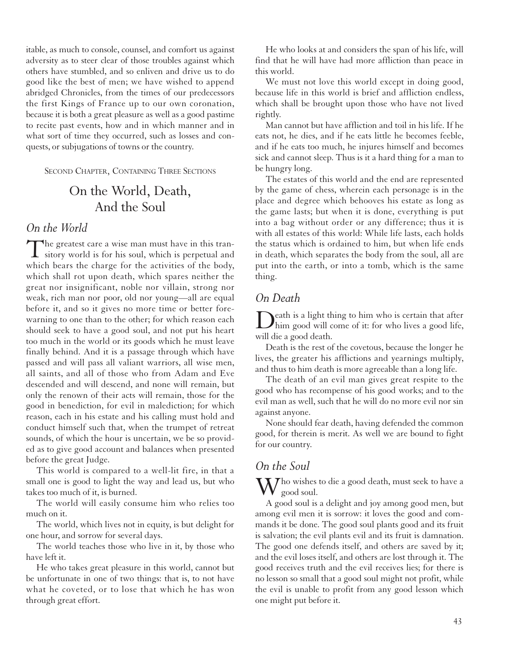itable, as much to console, counsel, and comfort us against adversity as to steer clear of those troubles against which others have stumbled, and so enliven and drive us to do good like the best of men; we have wished to append abridged Chronicles, from the times of our predecessors the first Kings of France up to our own coronation, because it is both a great pleasure as well as a good pastime to recite past events, how and in which manner and in what sort of time they occurred, such as losses and conquests, or subjugations of towns or the country.

SECOND CHAPTER, CONTAINING THREE SECTIONS

# On the World, Death, And the Soul

#### *On the World*

The greatest care a wise man must have in this tran-<br>sitory world is for his soul, which is perpetual and which bears the charge for the activities of the body, which shall rot upon death, which spares neither the great nor insignificant, noble nor villain, strong nor weak, rich man nor poor, old nor young—all are equal before it, and so it gives no more time or better forewarning to one than to the other; for which reason each should seek to have a good soul, and not put his heart too much in the world or its goods which he must leave finally behind. And it is a passage through which have passed and will pass all valiant warriors, all wise men, all saints, and all of those who from Adam and Eve descended and will descend, and none will remain, but only the renown of their acts will remain, those for the good in benediction, for evil in malediction; for which reason, each in his estate and his calling must hold and conduct himself such that, when the trumpet of retreat sounds, of which the hour is uncertain, we be so provided as to give good account and balances when presented before the great Judge.

This world is compared to a well-lit fire, in that a small one is good to light the way and lead us, but who takes too much of it, is burned.

The world will easily consume him who relies too much on it.

The world, which lives not in equity, is but delight for one hour, and sorrow for several days.

The world teaches those who live in it, by those who have left it.

He who takes great pleasure in this world, cannot but be unfortunate in one of two things: that is, to not have what he coveted, or to lose that which he has won through great effort.

He who looks at and considers the span of his life, will find that he will have had more affliction than peace in this world.

We must not love this world except in doing good, because life in this world is brief and affliction endless, which shall be brought upon those who have not lived rightly.

Man cannot but have affliction and toil in his life. If he eats not, he dies, and if he eats little he becomes feeble, and if he eats too much, he injures himself and becomes sick and cannot sleep. Thus is it a hard thing for a man to be hungry long.

The estates of this world and the end are represented by the game of chess, wherein each personage is in the place and degree which behooves his estate as long as the game lasts; but when it is done, everything is put into a bag without order or any difference; thus it is with all estates of this world: While life lasts, each holds the status which is ordained to him, but when life ends in death, which separates the body from the soul, all are put into the earth, or into a tomb, which is the same thing.

#### *On Death*

Death is a light thing to him who is certain that after<br>him good will come of it: for who lives a good life, will die a good death.

Death is the rest of the covetous, because the longer he lives, the greater his afflictions and yearnings multiply, and thus to him death is more agreeable than a long life.

The death of an evil man gives great respite to the good who has recompense of his good works; and to the evil man as well, such that he will do no more evil nor sin against anyone.

None should fear death, having defended the common good, for therein is merit. As well we are bound to fight for our country.

### *On the Soul*

Who wishes to die a good death, must seek to have a good soul.

A good soul is a delight and joy among good men, but among evil men it is sorrow: it loves the good and commands it be done. The good soul plants good and its fruit is salvation; the evil plants evil and its fruit is damnation. The good one defends itself, and others are saved by it; and the evil loses itself, and others are lost through it. The good receives truth and the evil receives lies; for there is no lesson so small that a good soul might not profit, while the evil is unable to profit from any good lesson which one might put before it.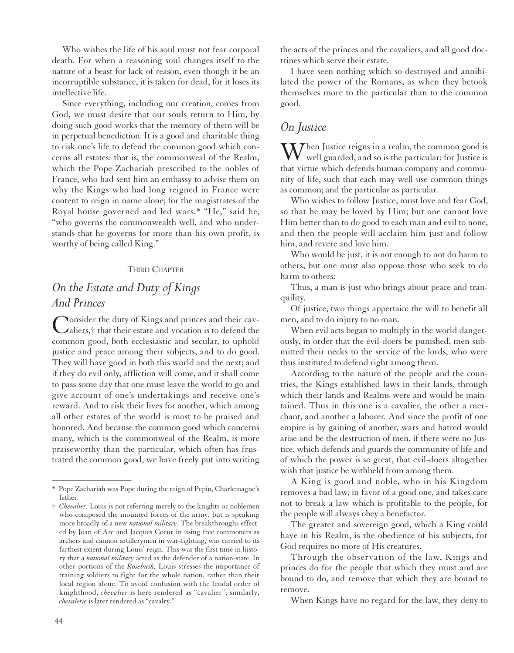Who wishes the life of his soul must not fear corporal death. For when a reasoning soul changes itself to the nature of a beast for lack of reason, even though it be an incorruptible substance, it is taken for dead, for it loses its intellective life.

Since everything, including our creation, comes from God, we must desire that our souls return to Him, by doing such good works that the memory of them will be in perpetual benediction. It is a good and charitable thing to risk one's life to defend the common good which concerns all estates: that is, the commonweal of the Realm, which the Pope Zachariah prescribed to the nobles of France, who had sent him an embassy to advise them on why the Kings who had long reigned in France were content to reign in name alone; for the magistrates of the Royal house governed and led wars.\* "He," said he, "who governs the commonwealth well, and who understands that he governs for more than his own profit, is worthy of being called King."

#### THIRD CHAPTER

## *On the Estate and Duty of Kings And Princes*

Consider the duty of Kings and princes and their cav-aliers,† that their estate and vocation is to defend the common good, both ecclesiastic and secular, to uphold justice and peace among their subjects, and to do good. They will have good in both this world and the next; and if they do evil only, affliction will come, and it shall come to pass some day that one must leave the world to go and give account of one's undertakings and receive one's reward. And to risk their lives for another, which among all other estates of the world is most to be praised and honored. And because the common good which concerns many, which is the commonweal of the Realm, is more praiseworthy than the particular, which often has frustrated the common good, we have freely put into writing the acts of the princes and the cavaliers, and all good doctrines which serve their estate.

I have seen nothing which so destroyed and annihilated the power of the Romans, as when they betook themselves more to the particular than to the common good.

#### *On Justice*

 $\sum_{n=1}^{\infty}$  Justice reigns in a realm, the common good is well guarded, and so is the particular: for Justice is that virtue which defends human company and community of life, such that each may well use common things as common; and the particular as particular.

Who wishes to follow Justice, must love and fear God, so that he may be loved by Him; but one cannot love Him better than to do good to each man and evil to none, and then the people will acclaim him just and follow him, and revere and love him.

Who would be just, it is not enough to not do harm to others, but one must also oppose those who seek to do harm to others:

Thus, a man is just who brings about peace and tranquility.

Of justice, two things appertain: the will to benefit all men, and to do injury to no man.

When evil acts began to multiply in the world dangerously, in order that the evil-doers be punished, men submitted their necks to the service of the lords, who were thus instituted to defend right among them.

According to the nature of the people and the countries, the Kings established laws in their lands, through which their lands and Realms were and would be maintained. Thus in this one is a cavalier, the other a merchant, and another a laborer. And since the profit of one empire is by gaining of another, wars and hatred would arise and be the destruction of men, if there were no Justice, which defends and guards the community of life and of which the power is so great, that evil-doers altogether wish that justice be withheld from among them.

A King is good and noble, who in his Kingdom removes a bad law, in favor of a good one, and takes care not to break a law which is profitable to the people, for the people will always obey a benefactor.

The greater and sovereign good, which a King could have in his Realm, is the obedience of his subjects, for God requires no more of His creatures.

Through the observation of the law, Kings and princes do for the people that which they must and are bound to do, and remove that which they are bound to remove.

When Kings have no regard for the law, they deny to

–––––––––––––––––

<sup>\*</sup> Pope Zachariah was Pope during the reign of Pepin, Charlemagne's father.

<sup>†</sup> *Chevalier.* Louis is not referring merely to the knights or noblemen who composed the mounted forces of the army, but is speaking more broadly of a new *national military.* The breakthroughs effected by Joan of Arc and Jacques Coeur in using free commoners as archers and cannon artillerymen in war-fighting, was carried to its farthest extent during Louis' reign. This was the first time in history that a *national military* acted as the defender of a nation-state. In other portions of the *Rosebush,* Louis stresses the importance of training soldiers to fight for the whole nation, rather than their local region alone. To avoid confusion with the feudal order of knighthood, *chevalier* is here rendered as "cavalier"; similarly, *chevalerie* is later rendered as "cavalry."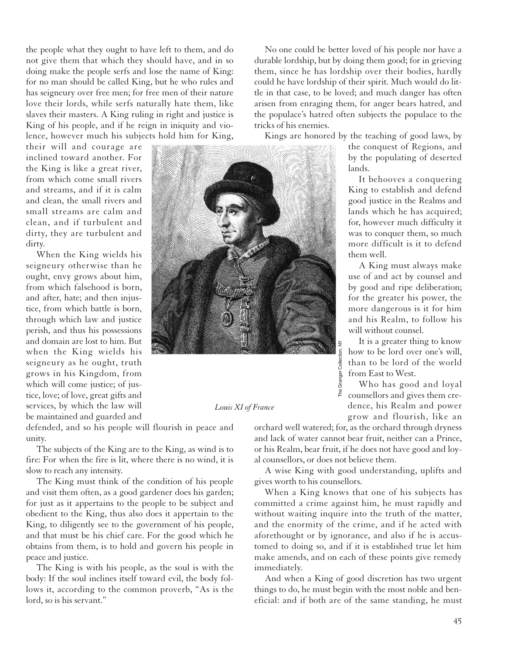the people what they ought to have left to them, and do not give them that which they should have, and in so doing make the people serfs and lose the name of King: for no man should be called King, but he who rules and has seigneury over free men; for free men of their nature love their lords, while serfs naturally hate them, like slaves their masters. A King ruling in right and justice is King of his people, and if he reign in iniquity and violence, however much his subjects hold him for King,

their will and courage are inclined toward another. For the King is like a great river, from which come small rivers and streams, and if it is calm and clean, the small rivers and small streams are calm and clean, and if turbulent and dirty, they are turbulent and dirty.

When the King wields his seigneury otherwise than he ought, envy grows about him, from which falsehood is born, and after, hate; and then injustice, from which battle is born, through which law and justice perish, and thus his possessions and domain are lost to him. But when the King wields his seigneury as he ought, truth grows in his Kingdom, from which will come justice; of justice, love; of love, great gifts and services, by which the law will be maintained and guarded and



*Louis XI of France*

defended, and so his people will flourish in peace and unity.

The subjects of the King are to the King, as wind is to fire: For when the fire is lit, where there is no wind, it is slow to reach any intensity.

The King must think of the condition of his people and visit them often, as a good gardener does his garden; for just as it appertains to the people to be subject and obedient to the King, thus also does it appertain to the King, to diligently see to the government of his people, and that must be his chief care. For the good which he obtains from them, is to hold and govern his people in peace and justice.

The King is with his people, as the soul is with the body: If the soul inclines itself toward evil, the body follows it, according to the common proverb, "As is the lord, so is his servant."

No one could be better loved of his people nor have a durable lordship, but by doing them good; for in grieving them, since he has lordship over their bodies, hardly could he have lordship of their spirit. Much would do little in that case, to be loved; and much danger has often arisen from enraging them, for anger bears hatred, and the populace's hatred often subjects the populace to the tricks of his enemies.

Kings are honored by the teaching of good laws, by

the conquest of Regions, and by the populating of deserted lands.

It behooves a conquering King to establish and defend good justice in the Realms and lands which he has acquired; for, however much difficulty it was to conquer them, so much more difficult is it to defend them well.

A King must always make use of and act by counsel and by good and ripe deliberation; for the greater his power, the more dangerous is it for him and his Realm, to follow his will without counsel.

It is a greater thing to know how to be lord over one's will, than to be lord of the world from East to West.

Who has good and loyal counsellors and gives them credence, his Realm and power grow and flourish, like an

orchard well watered; for, as the orchard through dryness and lack of water cannot bear fruit, neither can a Prince, or his Realm, bear fruit, if he does not have good and loyal counsellors, or does not believe them.

A wise King with good understanding, uplifts and gives worth to his counsellors.

When a King knows that one of his subjects has committed a crime against him, he must rapidly and without waiting inquire into the truth of the matter, and the enormity of the crime, and if he acted with aforethought or by ignorance, and also if he is accustomed to doing so, and if it is established true let him make amends, and on each of these points give remedy immediately.

And when a King of good discretion has two urgent things to do, he must begin with the most noble and beneficial: and if both are of the same standing, he must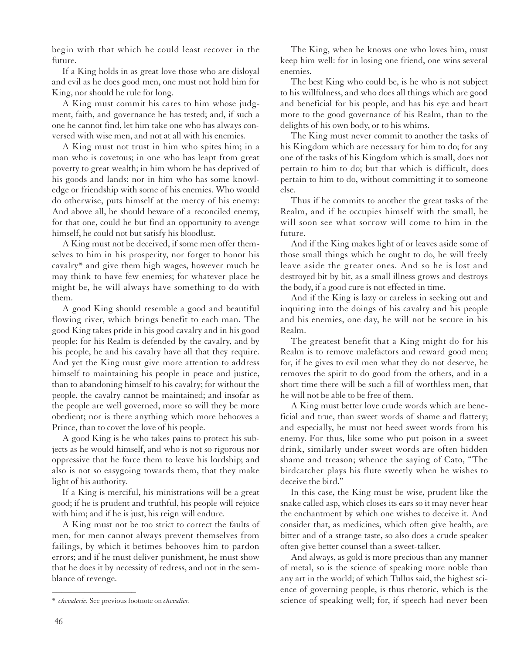begin with that which he could least recover in the future.

If a King holds in as great love those who are disloyal and evil as he does good men, one must not hold him for King, nor should he rule for long.

A King must commit his cares to him whose judgment, faith, and governance he has tested; and, if such a one he cannot find, let him take one who has always conversed with wise men, and not at all with his enemies.

A King must not trust in him who spites him; in a man who is covetous; in one who has leapt from great poverty to great wealth; in him whom he has deprived of his goods and lands; nor in him who has some knowledge or friendship with some of his enemies. Who would do otherwise, puts himself at the mercy of his enemy: And above all, he should beware of a reconciled enemy, for that one, could he but find an opportunity to avenge himself, he could not but satisfy his bloodlust.

A King must not be deceived, if some men offer themselves to him in his prosperity, nor forget to honor his cavalry\* and give them high wages, however much he may think to have few enemies; for whatever place he might be, he will always have something to do with them.

A good King should resemble a good and beautiful flowing river, which brings benefit to each man. The good King takes pride in his good cavalry and in his good people; for his Realm is defended by the cavalry, and by his people, he and his cavalry have all that they require. And yet the King must give more attention to address himself to maintaining his people in peace and justice, than to abandoning himself to his cavalry; for without the people, the cavalry cannot be maintained; and insofar as the people are well governed, more so will they be more obedient; nor is there anything which more behooves a Prince, than to covet the love of his people.

A good King is he who takes pains to protect his subjects as he would himself, and who is not so rigorous nor oppressive that he force them to leave his lordship; and also is not so easygoing towards them, that they make light of his authority.

If a King is merciful, his ministrations will be a great good; if he is prudent and truthful, his people will rejoice with him; and if he is just, his reign will endure.

A King must not be too strict to correct the faults of men, for men cannot always prevent themselves from failings, by which it betimes behooves him to pardon errors; and if he must deliver punishment, he must show that he does it by necessity of redress, and not in the semblance of revenge.

The King, when he knows one who loves him, must keep him well: for in losing one friend, one wins several enemies.

The best King who could be, is he who is not subject to his willfulness, and who does all things which are good and beneficial for his people, and has his eye and heart more to the good governance of his Realm, than to the delights of his own body, or to his whims.

The King must never commit to another the tasks of his Kingdom which are necessary for him to do; for any one of the tasks of his Kingdom which is small, does not pertain to him to do; but that which is difficult, does pertain to him to do, without committing it to someone else.

Thus if he commits to another the great tasks of the Realm, and if he occupies himself with the small, he will soon see what sorrow will come to him in the future.

And if the King makes light of or leaves aside some of those small things which he ought to do, he will freely leave aside the greater ones. And so he is lost and destroyed bit by bit, as a small illness grows and destroys the body, if a good cure is not effected in time.

And if the King is lazy or careless in seeking out and inquiring into the doings of his cavalry and his people and his enemies, one day, he will not be secure in his Realm.

The greatest benefit that a King might do for his Realm is to remove malefactors and reward good men; for, if he gives to evil men what they do not deserve, he removes the spirit to do good from the others, and in a short time there will be such a fill of worthless men, that he will not be able to be free of them.

A King must better love crude words which are beneficial and true, than sweet words of shame and flattery; and especially, he must not heed sweet words from his enemy. For thus, like some who put poison in a sweet drink, similarly under sweet words are often hidden shame and treason; whence the saying of Cato, "The birdcatcher plays his flute sweetly when he wishes to deceive the bird."

In this case, the King must be wise, prudent like the snake called asp, which closes its ears so it may never hear the enchantment by which one wishes to deceive it. And consider that, as medicines, which often give health, are bitter and of a strange taste, so also does a crude speaker often give better counsel than a sweet-talker.

And always, as gold is more precious than any manner of metal, so is the science of speaking more noble than any art in the world; of which Tullus said, the highest science of governing people, is thus rhetoric, which is the science of speaking well; for, if speech had never been

<sup>––––––––––––––––––</sup> \* *chevalerie.* See previous footnote on *chevalier.*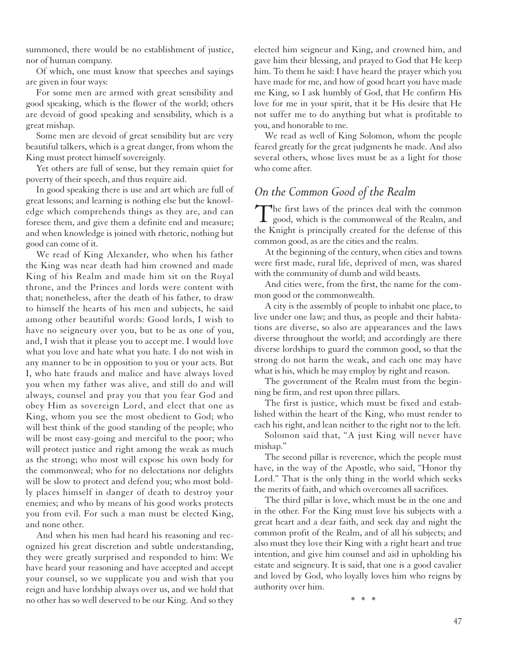summoned, there would be no establishment of justice, nor of human company.

Of which, one must know that speeches and sayings are given in four ways:

For some men are armed with great sensibility and good speaking, which is the flower of the world; others are devoid of good speaking and sensibility, which is a great mishap.

Some men are devoid of great sensibility but are very beautiful talkers, which is a great danger, from whom the King must protect himself sovereignly.

Yet others are full of sense, but they remain quiet for poverty of their speech, and thus require aid.

In good speaking there is use and art which are full of great lessons; and learning is nothing else but the knowledge which comprehends things as they are, and can foresee them, and give them a definite end and measure; and when knowledge is joined with rhetoric, nothing but good can come of it.

We read of King Alexander, who when his father the King was near death had him crowned and made King of his Realm and made him sit on the Royal throne, and the Princes and lords were content with that; nonetheless, after the death of his father, to draw to himself the hearts of his men and subjects, he said among other beautiful words: Good lords, I wish to have no seigneury over you, but to be as one of you, and, I wish that it please you to accept me. I would love what you love and hate what you hate. I do not wish in any manner to be in opposition to you or your acts. But I, who hate frauds and malice and have always loved you when my father was alive, and still do and will always, counsel and pray you that you fear God and obey Him as sovereign Lord, and elect that one as King, whom you see the most obedient to God; who will best think of the good standing of the people; who will be most easy-going and merciful to the poor; who will protect justice and right among the weak as much as the strong; who most will expose his own body for the commonweal; who for no delectations nor delights will be slow to protect and defend you; who most boldly places himself in danger of death to destroy your enemies; and who by means of his good works protects you from evil. For such a man must be elected King, and none other.

And when his men had heard his reasoning and recognized his great discretion and subtle understanding, they were greatly surprised and responded to him: We have heard your reasoning and have accepted and accept your counsel, so we supplicate you and wish that you reign and have lordship always over us, and we hold that no other has so well deserved to be our King. And so they

elected him seigneur and King, and crowned him, and gave him their blessing, and prayed to God that He keep him. To them he said: I have heard the prayer which you have made for me, and how of good heart you have made me King, so I ask humbly of God, that He confirm His love for me in your spirit, that it be His desire that He not suffer me to do anything but what is profitable to you, and honorable to me.

We read as well of King Solomon, whom the people feared greatly for the great judgments he made. And also several others, whose lives must be as a light for those who come after.

## *On the Common Good of the Realm*

The first laws of the princes deal with the common  $\perp$  good, which is the commonweal of the Realm, and the Knight is principally created for the defense of this common good, as are the cities and the realm.

At the beginning of the century, when cities and towns were first made, rural life, deprived of men, was shared with the community of dumb and wild beasts.

And cities were, from the first, the name for the common good or the commonwealth.

A city is the assembly of people to inhabit one place, to live under one law; and thus, as people and their habitations are diverse, so also are appearances and the laws diverse throughout the world; and accordingly are there diverse lordships to guard the common good, so that the strong do not harm the weak, and each one may have what is his, which he may employ by right and reason.

The government of the Realm must from the beginning be firm, and rest upon three pillars.

The first is justice, which must be fixed and established within the heart of the King, who must render to each his right, and lean neither to the right nor to the left.

Solomon said that, "A just King will never have mishap."

The second pillar is reverence, which the people must have, in the way of the Apostle, who said, "Honor thy Lord." That is the only thing in the world which seeks the merits of faith, and which overcomes all sacrifices.

The third pillar is love, which must be in the one and in the other. For the King must love his subjects with a great heart and a dear faith, and seek day and night the common profit of the Realm, and of all his subjects; and also must they love their King with a right heart and true intention, and give him counsel and aid in upholding his estate and seigneury. It is said, that one is a good cavalier and loved by God, who loyally loves him who reigns by authority over him.

\* \* \*